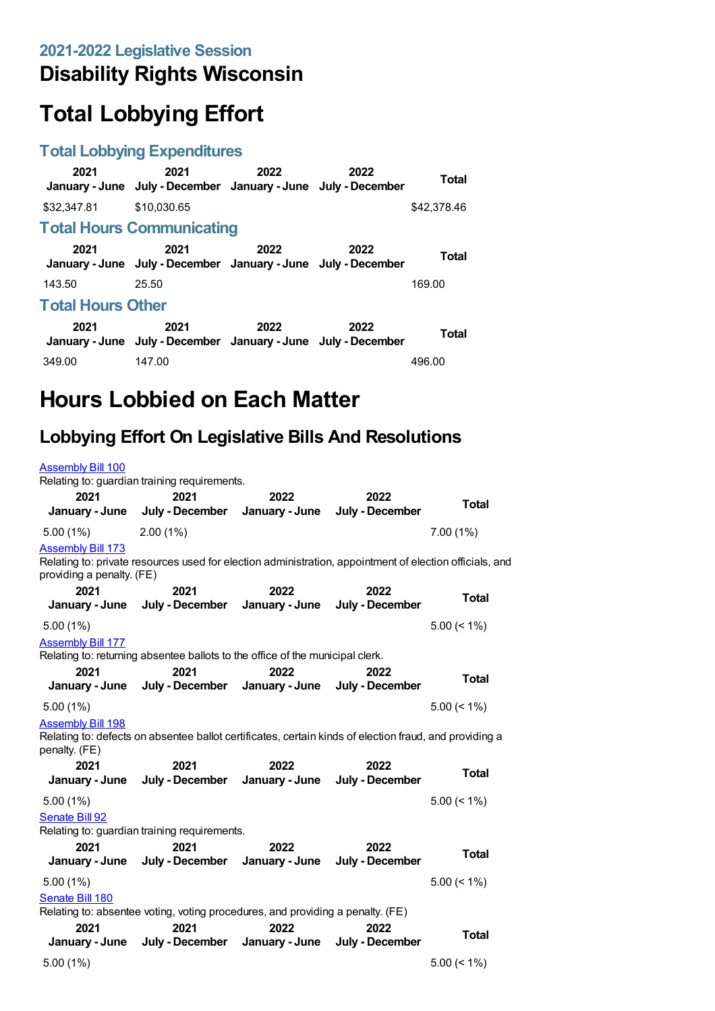## **Disability Rights Wisconsin**

# **Total Lobbying Effort**

### **Total Lobbying Expenditures**

| 2021                     | 2021<br>January - June July - December January - June July - December | 2022 | 2022 | Total       |  |  |
|--------------------------|-----------------------------------------------------------------------|------|------|-------------|--|--|
| \$32,347.81              | \$10.030.65                                                           |      |      | \$42,378.46 |  |  |
|                          | <b>Total Hours Communicating</b>                                      |      |      |             |  |  |
| 2021                     | 2021<br>January - June July - December January - June July - December | 2022 | 2022 | Total       |  |  |
| 143.50                   | 25.50                                                                 |      |      | 169.00      |  |  |
| <b>Total Hours Other</b> |                                                                       |      |      |             |  |  |
| 2021                     | 2021<br>January - June July - December January - June July - December | 2022 | 2022 | Total       |  |  |
| 349.00                   | 147.00                                                                |      |      | 496.00      |  |  |

# **Hours Lobbied on Each Matter**

## **Lobbying Effort On Legislative Bills And Resolutions**

#### [Assembly](https://lobbying.wi.gov/What/BillInformation/2021REG/Information/18485?tab=Efforts) Bill 100 Relating to: guardian training requirements. **2021 January - June 2021 July - December 2022 January - June 2022 July - December Total** 5.00 (1%) 2.00 (1%) 7.00 (1%) [Assembly](https://lobbying.wi.gov/What/BillInformation/2021REG/Information/18668?tab=Efforts) Bill 173 Relating to: private resources used for election administration, appointment of election officials, and providing a penalty. (FE) **2021 January - June 2021 July - December 2022 January - June 2022 July - December Total** 5.00 (1%) 5.00 (< 1%) [Assembly](https://lobbying.wi.gov/What/BillInformation/2021REG/Information/18703?tab=Efforts) Bill 177 Relating to: returning absentee ballots to the office of the municipal clerk. **2021 January - June 2021 July - December 2022 January - June 2022 July - December Total** 5.00 (1%) 5.00 (< 1%) [Assembly](https://lobbying.wi.gov/What/BillInformation/2021REG/Information/18746?tab=Efforts) Bill 198 Relating to: defects on absentee ballot certificates, certain kinds of election fraud, and providing a penalty. (FE) **2021 January - June 2021 July - December 2022 January - June 2022 July - December Total** 5.00 (1%) 5.00 (< 1%) [Senate](https://lobbying.wi.gov/What/BillInformation/2021REG/Information/18417?tab=Efforts) Bill 92 Relating to: guardian training requirements. **2021 January - June 2021 July - December 2022 January - June 2022 July - December Total** 5.00 (1%) 5.00 (< 1%) [Senate](https://lobbying.wi.gov/What/BillInformation/2021REG/Information/18616?tab=Efforts) Bill 180 Relating to: absentee voting, voting procedures, and providing a penalty. (FE) **2021 January - June 2021 July - December January - June 2022 2022 July - December Total** 5.00 (1%) 5.00 (< 1%)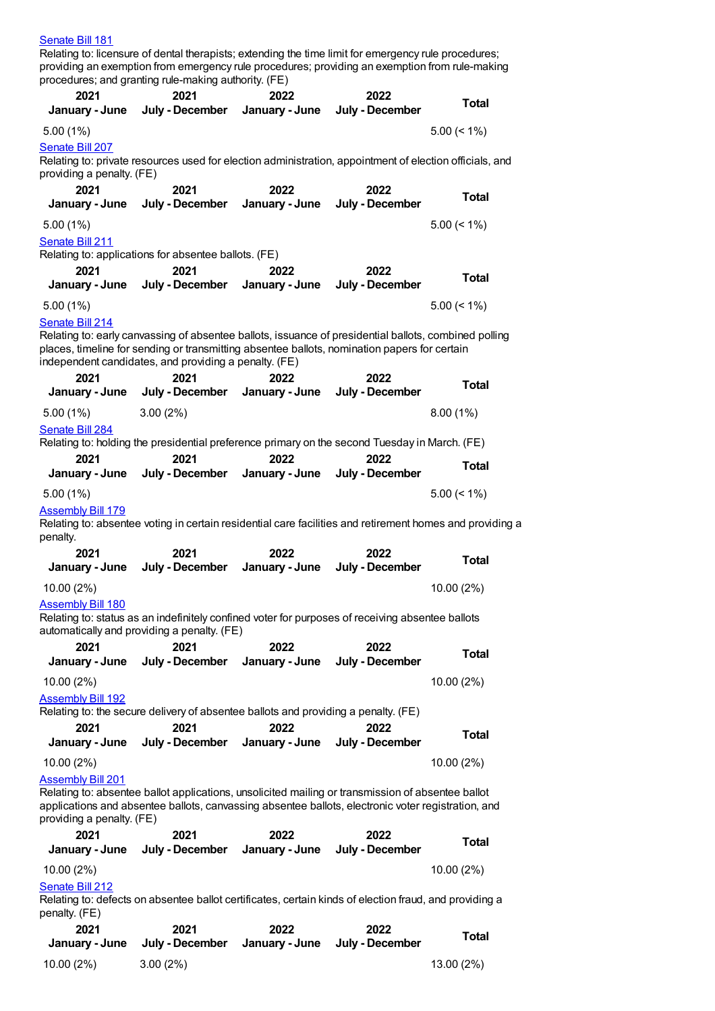#### [Senate](https://lobbying.wi.gov/What/BillInformation/2021REG/Information/18617?tab=Efforts) Bill 181

Relating to: licensure of dental therapists; extending the time limit for emergency rule procedures; providing an exemption from emergency rule procedures; providing an exemption from rule-making procedures; and granting rule-making authority. (FE)

| 2021<br>January - June               | 2021<br>July - December                                                                                                                                                                                 | 2022<br>January - June | 2022<br>July - December | <b>Total</b>   |
|--------------------------------------|---------------------------------------------------------------------------------------------------------------------------------------------------------------------------------------------------------|------------------------|-------------------------|----------------|
| 5.00(1%)                             |                                                                                                                                                                                                         |                        |                         | $5.00 \le 1\%$ |
| <b>Senate Bill 207</b>               | Relating to: private resources used for election administration, appointment of election officials, and                                                                                                 |                        |                         |                |
| providing a penalty. (FE)            |                                                                                                                                                                                                         |                        |                         |                |
| 2021                                 | 2021                                                                                                                                                                                                    | 2022                   | 2022                    | <b>Total</b>   |
| January - June                       | July - December                                                                                                                                                                                         | January - June         | July - December         |                |
| 5.00(1%)<br>Senate Bill 211          |                                                                                                                                                                                                         |                        |                         | $5.00 \le 1\%$ |
|                                      | Relating to: applications for absentee ballots. (FE)                                                                                                                                                    |                        |                         |                |
| 2021<br>January - June               | 2021<br>July - December                                                                                                                                                                                 | 2022<br>January - June | 2022<br>July - December | <b>Total</b>   |
| 5.00(1%)                             |                                                                                                                                                                                                         |                        |                         | $5.00 \le 1\%$ |
| <b>Senate Bill 214</b>               |                                                                                                                                                                                                         |                        |                         |                |
|                                      | Relating to: early canvassing of absentee ballots, issuance of presidential ballots, combined polling                                                                                                   |                        |                         |                |
|                                      | places, timeline for sending or transmitting absentee ballots, nomination papers for certain<br>independent candidates, and providing a penalty. (FE)                                                   |                        |                         |                |
| 2021                                 | 2021                                                                                                                                                                                                    | 2022                   | 2022                    | Total          |
| January - June                       | July - December                                                                                                                                                                                         | January - June         | July - December         |                |
| $5.00(1\%)$<br>Senate Bill 284       | 3.00(2%)                                                                                                                                                                                                |                        |                         | 8.00(1%)       |
|                                      | Relating to: holding the presidential preference primary on the second Tuesday in March. (FE)                                                                                                           |                        |                         |                |
| 2021                                 | 2021                                                                                                                                                                                                    | 2022                   | 2022                    | <b>Total</b>   |
| January - June                       | July - December                                                                                                                                                                                         | January - June         | July - December         |                |
| 5.00(1%)<br><b>Assembly Bill 179</b> |                                                                                                                                                                                                         |                        |                         | $5.00 \le 1\%$ |
| penalty.                             | Relating to: absentee voting in certain residential care facilities and retirement homes and providing a                                                                                                |                        |                         |                |
| 2021                                 | 2021                                                                                                                                                                                                    | 2022                   | 2022                    | <b>Total</b>   |
| January - June                       | July - December                                                                                                                                                                                         | January - June         | July - December         |                |
| 10.00 (2%)                           |                                                                                                                                                                                                         |                        |                         | 10.00 (2%)     |
| <b>Assembly Bill 180</b>             | Relating to: status as an indefinitely confined voter for purposes of receiving absentee ballots                                                                                                        |                        |                         |                |
|                                      | automatically and providing a penalty. (FE)                                                                                                                                                             |                        |                         |                |
| 2021<br>January - June               | 2021<br>July - December                                                                                                                                                                                 | 2022<br>January - June | 2022<br>July - December | <b>Total</b>   |
| 10.00 (2%)                           |                                                                                                                                                                                                         |                        |                         | 10.00 (2%)     |
| <b>Assembly Bill 192</b>             |                                                                                                                                                                                                         |                        |                         |                |
|                                      | Relating to: the secure delivery of absentee ballots and providing a penalty. (FE)                                                                                                                      |                        |                         |                |
| 2021<br>January - June               | 2021<br>July - December                                                                                                                                                                                 | 2022<br>January - June | 2022<br>July - December | <b>Total</b>   |
| 10.00 (2%)                           |                                                                                                                                                                                                         |                        |                         | 10.00 (2%)     |
| <b>Assembly Bill 201</b>             |                                                                                                                                                                                                         |                        |                         |                |
|                                      | Relating to: absentee ballot applications, unsolicited mailing or transmission of absentee ballot<br>applications and absentee ballots, canvassing absentee ballots, electronic voter registration, and |                        |                         |                |
| providing a penalty. (FE)            |                                                                                                                                                                                                         |                        |                         |                |
| 2021<br>January - June               | 2021<br>July - December                                                                                                                                                                                 | 2022<br>January - June | 2022<br>July - December | <b>Total</b>   |
| 10.00 (2%)                           |                                                                                                                                                                                                         |                        |                         | 10.00 (2%)     |
| <b>Senate Bill 212</b>               |                                                                                                                                                                                                         |                        |                         |                |
| penalty. (FE)                        | Relating to: defects on absentee ballot certificates, certain kinds of election fraud, and providing a                                                                                                  |                        |                         |                |
| 2021                                 | 2021                                                                                                                                                                                                    | 2022                   | 2022                    |                |
| January - June                       | July - December                                                                                                                                                                                         | January - June         | July - December         | <b>Total</b>   |

10.00 (2%) 3.00 (2%) 13.00 (2%)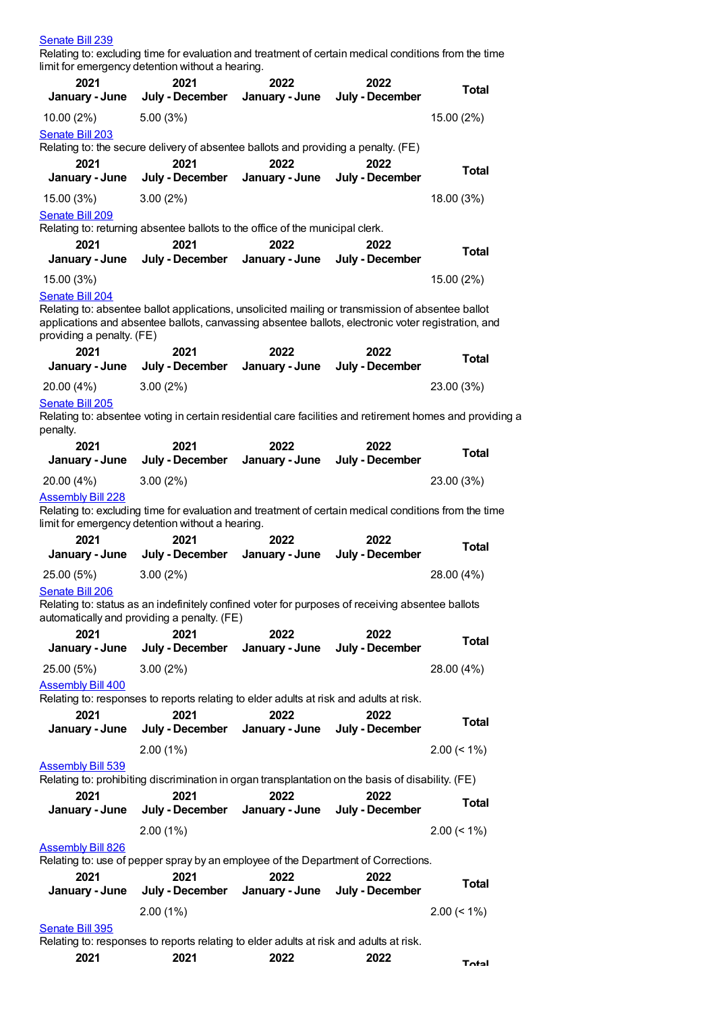| Senate Bill 239                                    | Relating to: excluding time for evaluation and treatment of certain medical conditions from the time<br>limit for emergency detention without a hearing.                                                |                        |                         |                |
|----------------------------------------------------|---------------------------------------------------------------------------------------------------------------------------------------------------------------------------------------------------------|------------------------|-------------------------|----------------|
| 2021                                               | 2021                                                                                                                                                                                                    | 2022                   | 2022                    |                |
| January - June                                     | July - December                                                                                                                                                                                         | January - June         | July - December         | <b>Total</b>   |
| 10.00 (2%)                                         | 5.00(3%)                                                                                                                                                                                                |                        |                         | 15.00 (2%)     |
| Senate Bill 203                                    |                                                                                                                                                                                                         |                        |                         |                |
|                                                    | Relating to: the secure delivery of absentee ballots and providing a penalty. (FE)                                                                                                                      |                        |                         |                |
| 2021                                               | 2021                                                                                                                                                                                                    | 2022                   | 2022                    | <b>Total</b>   |
| January - June                                     | July - December                                                                                                                                                                                         | January - June         | July - December         |                |
| 15.00 (3%)                                         | 3.00(2%)                                                                                                                                                                                                |                        |                         | 18.00 (3%)     |
| Senate Bill 209                                    | Relating to: returning absentee ballots to the office of the municipal clerk.                                                                                                                           |                        |                         |                |
| 2021                                               | 2021                                                                                                                                                                                                    | 2022                   | 2022                    |                |
| January - June                                     | July - December                                                                                                                                                                                         | January - June         | July - December         | <b>Total</b>   |
| 15.00 (3%)                                         |                                                                                                                                                                                                         |                        |                         | 15.00 (2%)     |
| Senate Bill 204                                    |                                                                                                                                                                                                         |                        |                         |                |
| providing a penalty. (FE)                          | Relating to: absentee ballot applications, unsolicited mailing or transmission of absentee ballot<br>applications and absentee ballots, canvassing absentee ballots, electronic voter registration, and |                        |                         |                |
| 2021<br>January - June                             | 2021<br>July - December                                                                                                                                                                                 | 2022<br>January - June | 2022<br>July - December | <b>Total</b>   |
| 20.00 (4%)                                         | 3.00(2%)                                                                                                                                                                                                |                        |                         | 23.00 (3%)     |
| Senate Bill 205                                    |                                                                                                                                                                                                         |                        |                         |                |
| penalty.                                           | Relating to: absentee voting in certain residential care facilities and retirement homes and providing a                                                                                                |                        |                         |                |
| 2021<br>January - June                             | 2021<br>July - December                                                                                                                                                                                 | 2022<br>January - June | 2022<br>July - December | <b>Total</b>   |
| 20.00 (4%)                                         | 3.00(2%)                                                                                                                                                                                                |                        |                         | 23.00 (3%)     |
| <b>Assembly Bill 228</b><br>2021<br>January - June | Relating to: excluding time for evaluation and treatment of certain medical conditions from the time<br>limit for emergency detention without a hearing.<br>2021<br>July - December                     | 2022<br>January - June | 2022<br>July - December | <b>Total</b>   |
| 25.00 (5%)                                         | 3.00(2%)                                                                                                                                                                                                |                        |                         | 28.00 (4%)     |
| Senate Bill 206                                    | Relating to: status as an indefinitely confined voter for purposes of receiving absentee ballots<br>automatically and providing a penalty. (FE)                                                         |                        |                         |                |
| 2021<br>January - June                             | 2021<br>July - December                                                                                                                                                                                 | 2022<br>January - June | 2022<br>July - December | <b>Total</b>   |
| 25.00 (5%)                                         | 3.00(2%)                                                                                                                                                                                                |                        |                         | 28.00 (4%)     |
| <b>Assembly Bill 400</b>                           |                                                                                                                                                                                                         |                        |                         |                |
|                                                    | Relating to: responses to reports relating to elder adults at risk and adults at risk.                                                                                                                  |                        |                         |                |
| 2021<br>January - June                             | 2021<br>July - December                                                                                                                                                                                 | 2022<br>January - June | 2022<br>July - December | <b>Total</b>   |
|                                                    | 2.00(1%)                                                                                                                                                                                                |                        |                         | $2.00 \le 1\%$ |
| <u>Assembly Bill 539</u>                           | Relating to: prohibiting discrimination in organ transplantation on the basis of disability. (FE)                                                                                                       |                        |                         |                |
| 2021<br>January - June                             | 2021<br>July - December                                                                                                                                                                                 | 2022<br>January - June | 2022<br>July - December | <b>Total</b>   |
|                                                    | 2.00(1%)                                                                                                                                                                                                |                        |                         | $2.00 \le 1\%$ |
| <b>Assembly Bill 826</b><br>2021                   | Relating to: use of pepper spray by an employee of the Department of Corrections.<br>2021                                                                                                               | 2022                   | 2022                    |                |
| January - June                                     | July - December                                                                                                                                                                                         | January - June         | July - December         | <b>Total</b>   |
|                                                    | 2.00(1%)                                                                                                                                                                                                |                        |                         | $2.00 \le 1\%$ |
| Senate Bill 395                                    | Relating to: responses to reports relating to elder adults at risk and adults at risk.                                                                                                                  |                        |                         |                |
| 2021                                               | 2021                                                                                                                                                                                                    | 2022                   | 2022                    | Total          |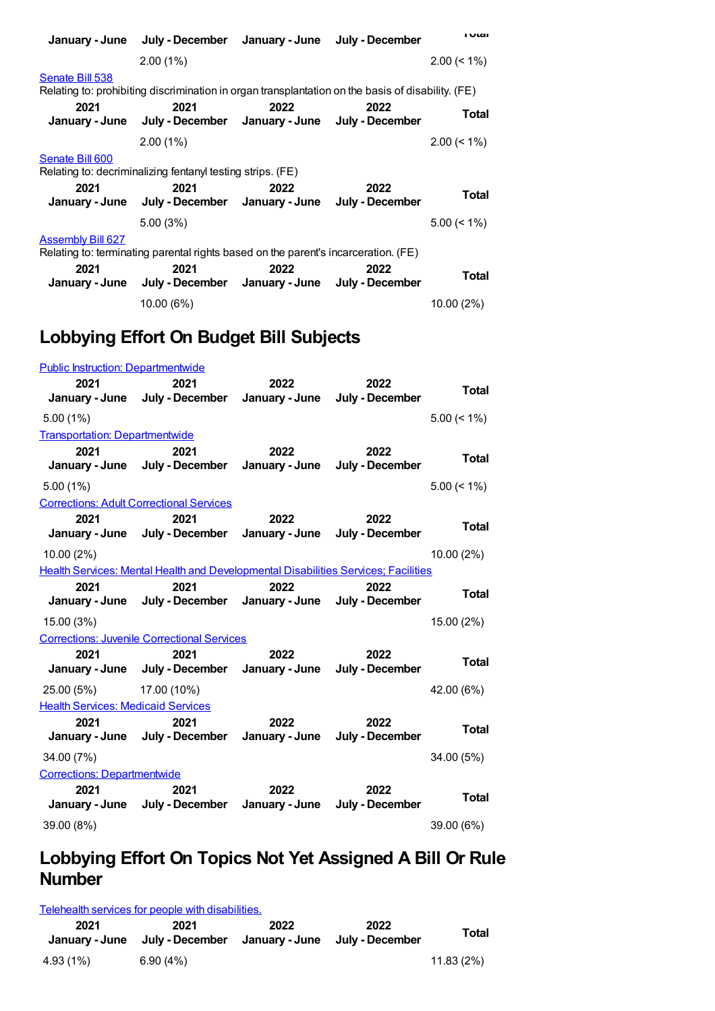|                          | January - June July - December January - June July - December                                     |      |      | <b>I</b> Ulai  |
|--------------------------|---------------------------------------------------------------------------------------------------|------|------|----------------|
|                          | $2.00(1\%)$                                                                                       |      |      | $2.00 \le 1\%$ |
| Senate Bill 538          | Relating to: prohibiting discrimination in organ transplantation on the basis of disability. (FE) |      |      |                |
| 2021                     | 2021<br>January - June July - December January - June July - December                             | 2022 | 2022 | Total          |
|                          | $2.00(1\%)$                                                                                       |      |      | $2.00 \le 1\%$ |
| Senate Bill 600          | Relating to: decriminalizing fentanyl testing strips. (FE)                                        |      |      |                |
| 2021                     | 2021<br>January - June July - December January - June July - December                             | 2022 | 2022 | Total          |
|                          | 5.00(3%)                                                                                          |      |      | $5.00 \le 1\%$ |
| <b>Assembly Bill 627</b> | Relating to: terminating parental rights based on the parent's incarceration. (FE)                |      |      |                |
| 2021                     | 2021<br>January - June July - December January - June July - December                             | 2022 | 2022 | <b>Total</b>   |
|                          | 10.00 (6%)                                                                                        |      |      | 10.00(2%)      |

## **Lobbying Effort On Budget Bill Subjects**

| <b>Public Instruction: Departmentwide</b>     |                                                                                    |                        |                                        |                |
|-----------------------------------------------|------------------------------------------------------------------------------------|------------------------|----------------------------------------|----------------|
| 2021                                          | 2021                                                                               | 2022                   | 2022                                   | <b>Total</b>   |
|                                               | January - June July - December January - June July - December                      |                        |                                        |                |
| $5.00(1\%)$                                   |                                                                                    |                        |                                        | $5.00 \le 1\%$ |
| <b>Transportation: Departmentwide</b><br>2021 | 2021                                                                               | 2022                   | 2022                                   |                |
|                                               | January - June July - December                                                     |                        | January - June July - December         | <b>Total</b>   |
| $5.00(1\%)$                                   |                                                                                    |                        |                                        | $5.00 \le 1\%$ |
|                                               | <b>Corrections: Adult Correctional Services</b>                                    |                        |                                        |                |
| 2021                                          | 2021<br>January - June July - December January - June                              | 2022                   | 2022<br>July - December                | <b>Total</b>   |
| $10.00(2\%)$                                  |                                                                                    |                        |                                        | 10.00 (2%)     |
|                                               | Health Services: Mental Health and Developmental Disabilities Services; Facilities |                        |                                        |                |
| 2021                                          | 2021                                                                               | 2022                   | 2022                                   | <b>Total</b>   |
|                                               | January - June July - December January - June July - December                      |                        |                                        |                |
| 15.00 (3%)                                    |                                                                                    |                        |                                        | 15.00 (2%)     |
|                                               | <b>Corrections: Juvenile Correctional Services</b>                                 |                        |                                        |                |
| 2021                                          | 2021<br>January - June July - December                                             | 2022                   | 2022<br>January - June July - December | <b>Total</b>   |
| 25.00 (5%)                                    | 17.00 (10%)                                                                        |                        |                                        | 42.00 (6%)     |
| <b>Health Services: Medicaid Services</b>     |                                                                                    |                        |                                        |                |
| 2021                                          | 2021<br>January - June July - December                                             | 2022<br>January - June | 2022<br>July - December                | <b>Total</b>   |
| 34.00 (7%)                                    |                                                                                    |                        |                                        | 34.00 (5%)     |
| <b>Corrections: Departmentwide</b>            |                                                                                    |                        |                                        |                |
| 2021                                          | 2021<br>January - June July - December                                             | 2022<br>January - June | 2022<br>July - December                | <b>Total</b>   |
| 39.00 (8%)                                    |                                                                                    |                        |                                        | 39.00 (6%)     |

## **Lobbying Effort On Topics Not Yet Assigned A Bill Or Rule Number**

Telehealth services for people with [disabilities.](https://lobbying.wi.gov/What/TopicInformation/2021REG/Information/46853?tab=Efforts)

| 2021      | 2021<br>January - June July - December January - June July - December | 2022 | 2022 | Total     |
|-----------|-----------------------------------------------------------------------|------|------|-----------|
| 4.93 (1%) | 6.90(4%)                                                              |      |      | 11.83(2%) |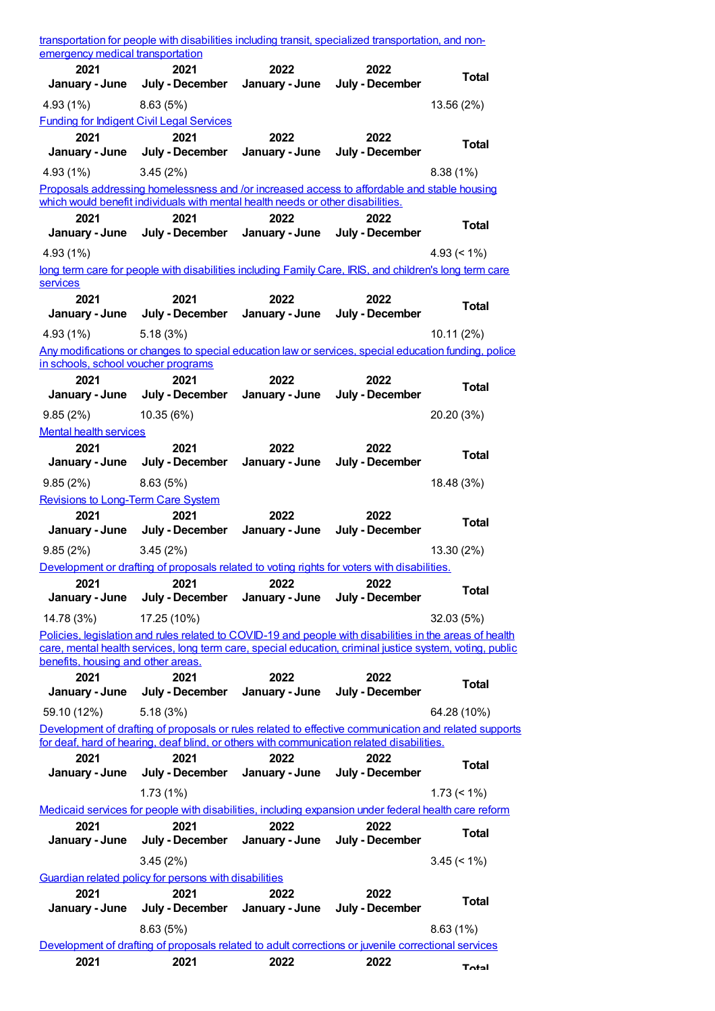| transportation for people with disabilities including transit, specialized transportation, and non-<br>emergency medical transportation |                                                                                                                                                                                                                     |                        |                         |                    |
|-----------------------------------------------------------------------------------------------------------------------------------------|---------------------------------------------------------------------------------------------------------------------------------------------------------------------------------------------------------------------|------------------------|-------------------------|--------------------|
| 2021<br>January - June                                                                                                                  | 2021<br>July - December                                                                                                                                                                                             | 2022<br>January - June | 2022<br>July - December | <b>Total</b>       |
| 4.93 (1%)                                                                                                                               | 8.63(5%)                                                                                                                                                                                                            |                        |                         | 13.56 (2%)         |
|                                                                                                                                         | <b>Funding for Indigent Civil Legal Services</b>                                                                                                                                                                    |                        |                         |                    |
| 2021                                                                                                                                    | 2021                                                                                                                                                                                                                | 2022                   | 2022                    | <b>Total</b>       |
| January - June                                                                                                                          | July - December                                                                                                                                                                                                     | January - June         | July - December         |                    |
| 4.93(1%)                                                                                                                                | 3.45(2%)<br>Proposals addressing homelessness and /or increased access to affordable and stable housing                                                                                                             |                        |                         | 8.38(1%)           |
|                                                                                                                                         | which would benefit individuals with mental health needs or other disabilities.                                                                                                                                     |                        |                         |                    |
| 2021                                                                                                                                    | 2021                                                                                                                                                                                                                | 2022                   | 2022                    | <b>Total</b>       |
| January - June                                                                                                                          | July - December                                                                                                                                                                                                     | January - June         | July - December         |                    |
| 4.93(1%)                                                                                                                                | long term care for people with disabilities including Family Care, IRIS, and children's long term care                                                                                                              |                        |                         | $4.93 (< 1\%)$     |
| services                                                                                                                                |                                                                                                                                                                                                                     |                        |                         |                    |
| 2021                                                                                                                                    | 2021                                                                                                                                                                                                                | 2022                   | 2022                    | <b>Total</b>       |
| January - June                                                                                                                          | July - December                                                                                                                                                                                                     | January - June         | July - December         |                    |
| 4.93(1%)                                                                                                                                | 5.18(3%)                                                                                                                                                                                                            |                        |                         | 10.11(2%)          |
| in schools, school voucher programs                                                                                                     | Any modifications or changes to special education law or services, special education funding, police                                                                                                                |                        |                         |                    |
| 2021                                                                                                                                    | 2021                                                                                                                                                                                                                | 2022                   | 2022                    |                    |
| January - June                                                                                                                          | July - December                                                                                                                                                                                                     | January - June         | July - December         | <b>Total</b>       |
| 9.85(2%)                                                                                                                                | 10.35 (6%)                                                                                                                                                                                                          |                        |                         | 20.20 (3%)         |
| <b>Mental health services</b>                                                                                                           |                                                                                                                                                                                                                     |                        |                         |                    |
| 2021<br>January - June                                                                                                                  | 2021<br>July - December                                                                                                                                                                                             | 2022<br>January - June | 2022<br>July - December | <b>Total</b>       |
|                                                                                                                                         |                                                                                                                                                                                                                     |                        |                         |                    |
| 9.85(2%)<br><b>Revisions to Long-Term Care System</b>                                                                                   | 8.63(5%)                                                                                                                                                                                                            |                        |                         | 18.48 (3%)         |
|                                                                                                                                         |                                                                                                                                                                                                                     |                        |                         |                    |
| 2021                                                                                                                                    | 2021                                                                                                                                                                                                                | 2022                   | 2022                    |                    |
| January - June                                                                                                                          | July - December                                                                                                                                                                                                     | January - June         | July - December         | <b>Total</b>       |
| 9.85(2%)                                                                                                                                | 3.45(2%)                                                                                                                                                                                                            |                        |                         | 13.30(2%)          |
|                                                                                                                                         | Development or drafting of proposals related to voting rights for voters with disabilities.                                                                                                                         |                        |                         |                    |
| 2021                                                                                                                                    | 2021                                                                                                                                                                                                                | 2022                   | 2022                    | <b>Total</b>       |
| January - June                                                                                                                          | July - December                                                                                                                                                                                                     | January - June         | July - December         |                    |
| 14.78 (3%)                                                                                                                              | 17.25 (10%)                                                                                                                                                                                                         |                        |                         | 32.03(5%)          |
|                                                                                                                                         | Policies, legislation and rules related to COVID-19 and people with disabilities in the areas of health<br>care, mental health services, long term care, special education, criminal justice system, voting, public |                        |                         |                    |
| benefits, housing and other areas.                                                                                                      |                                                                                                                                                                                                                     |                        |                         |                    |
| 2021<br>January - June                                                                                                                  | 2021<br>July - December                                                                                                                                                                                             | 2022<br>January - June | 2022<br>July - December | <b>Total</b>       |
|                                                                                                                                         | 5.18(3%)                                                                                                                                                                                                            |                        |                         |                    |
| 59.10 (12%)                                                                                                                             | Development of drafting of proposals or rules related to effective communication and related supports                                                                                                               |                        |                         | 64.28 (10%)        |
|                                                                                                                                         | for deaf, hard of hearing, deaf blind, or others with communication related disabilities.                                                                                                                           |                        |                         |                    |
| 2021                                                                                                                                    | 2021                                                                                                                                                                                                                | 2022                   | 2022                    | <b>Total</b>       |
| January - June                                                                                                                          | July - December                                                                                                                                                                                                     | January - June         | July - December         |                    |
|                                                                                                                                         | 1.73(1%)                                                                                                                                                                                                            |                        |                         | $1.73 \le 1\%$     |
| 2021                                                                                                                                    | Medicaid services for people with disabilities, including expansion under federal health care reform<br>2021                                                                                                        | 2022                   | 2022                    |                    |
| January - June                                                                                                                          | July - December                                                                                                                                                                                                     | January - June         | July - December         | <b>Total</b>       |
|                                                                                                                                         | 3.45(2%)                                                                                                                                                                                                            |                        |                         | $3.45 \approx 1\%$ |
|                                                                                                                                         | Guardian related policy for persons with disabilities                                                                                                                                                               |                        |                         |                    |
| 2021                                                                                                                                    | 2021                                                                                                                                                                                                                | 2022                   | 2022                    | <b>Total</b>       |
| January - June                                                                                                                          | July - December                                                                                                                                                                                                     | January - June         | July - December         |                    |
|                                                                                                                                         | 8.63(5%)<br>Development of drafting of proposals related to adult corrections or juvenile correctional services                                                                                                     |                        |                         | 8.63(1%)           |